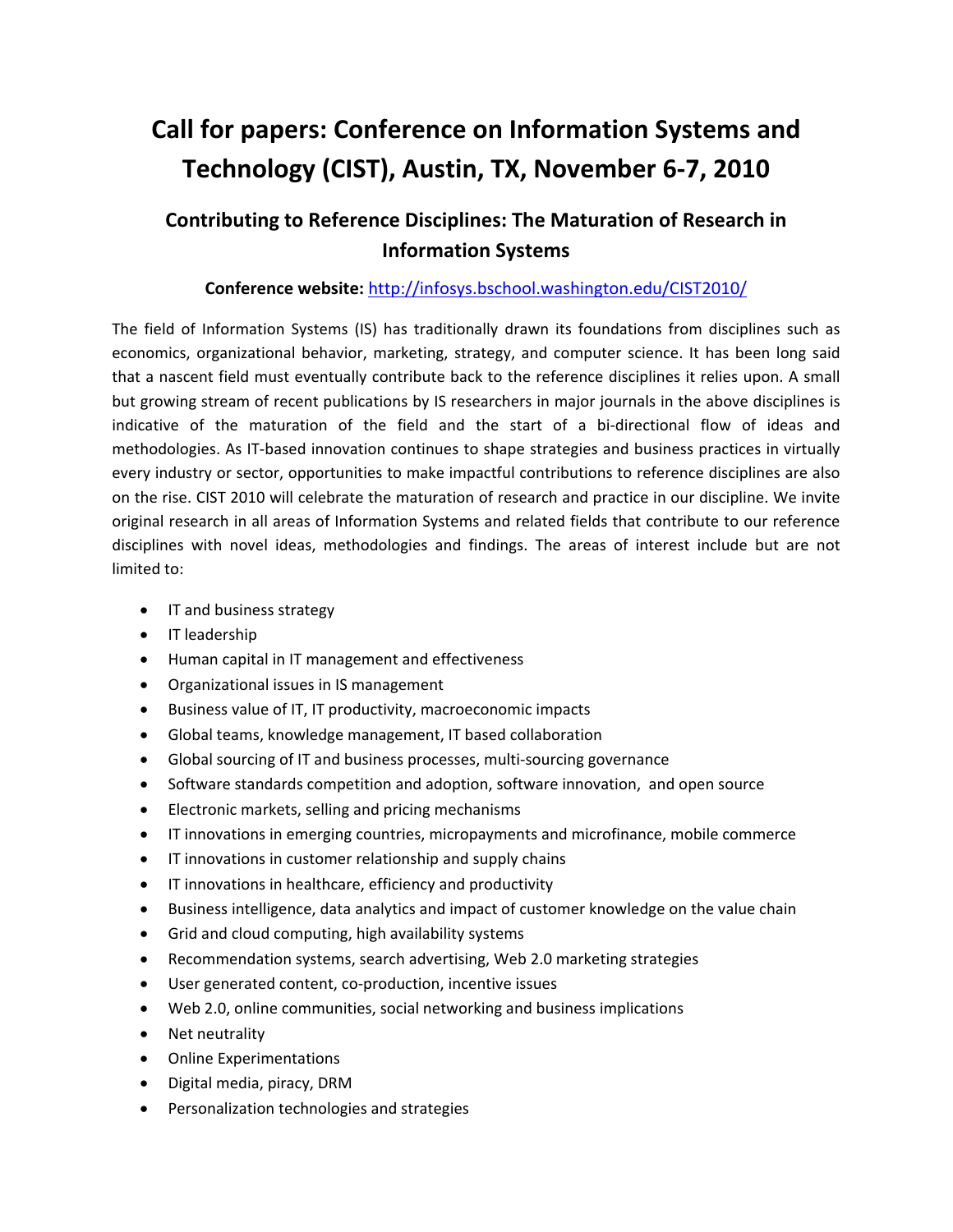# **Call for papers: Conference on Information Systems and Technology (CIST), Austin, TX, November 6‐7, 2010**

# **Contributing to Reference Disciplines: The Maturation of Research in Information Systems**

# **Conference website:** http://infosys.bschool.washington.edu/CIST2010/

The field of Information Systems (IS) has traditionally drawn its foundations from disciplines such as economics, organizational behavior, marketing, strategy, and computer science. It has been long said that a nascent field must eventually contribute back to the reference disciplines it relies upon. A small but growing stream of recent publications by IS researchers in major journals in the above disciplines is indicative of the maturation of the field and the start of a bi-directional flow of ideas and methodologies. As IT‐based innovation continues to shape strategies and business practices in virtually every industry or sector, opportunities to make impactful contributions to reference disciplines are also on the rise. CIST 2010 will celebrate the maturation of research and practice in our discipline. We invite original research in all areas of Information Systems and related fields that contribute to our reference disciplines with novel ideas, methodologies and findings. The areas of interest include but are not limited to:

- IT and business strategy
- IT leadership
- Human capital in IT management and effectiveness
- Organizational issues in IS management
- Business value of IT, IT productivity, macroeconomic impacts
- Global teams, knowledge management, IT based collaboration
- Global sourcing of IT and business processes, multi‐sourcing governance
- Software standards competition and adoption, software innovation, and open source
- Electronic markets, selling and pricing mechanisms
- IT innovations in emerging countries, micropayments and microfinance, mobile commerce
- IT innovations in customer relationship and supply chains
- IT innovations in healthcare, efficiency and productivity
- Business intelligence, data analytics and impact of customer knowledge on the value chain
- Grid and cloud computing, high availability systems
- Recommendation systems, search advertising, Web 2.0 marketing strategies
- User generated content, co‐production, incentive issues
- Web 2.0, online communities, social networking and business implications
- Net neutrality
- Online Experimentations
- Digital media, piracy, DRM
- Personalization technologies and strategies